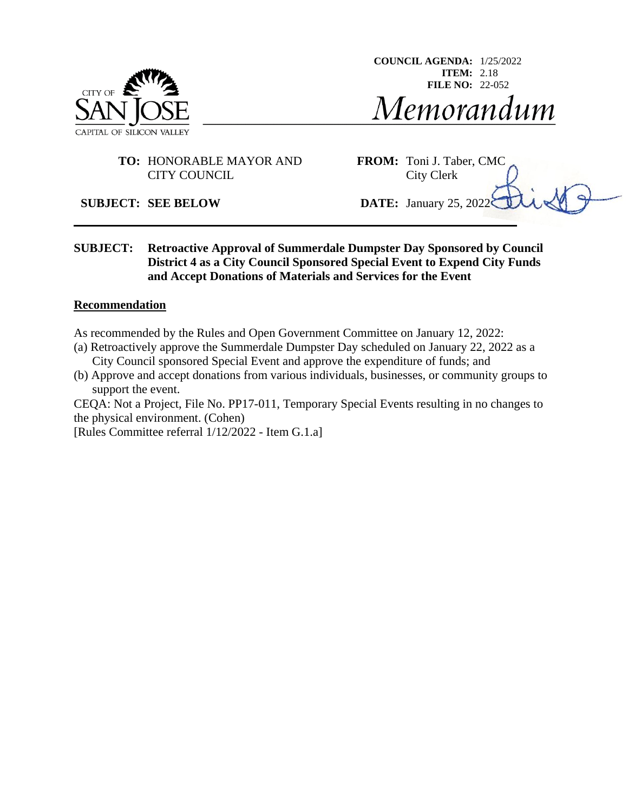

**COUNCIL AGENDA:** 1/25/2022 **ITEM:** 2.18 **FILE NO:** 22-052Memorandum

### **TO:** HONORABLE MAYOR AND **FROM:** Toni J. Taber, CMC CITY COUNCIL City Clerk

#### **SUBJECT: SEE BELOW DATE:** January 25, 2022

**SUBJECT: Retroactive Approval of Summerdale Dumpster Day Sponsored by Council District 4 as a City Council Sponsored Special Event to Expend City Funds and Accept Donations of Materials and Services for the Event**

#### **Recommendation**

As recommended by the Rules and Open Government Committee on January 12, 2022:

- (a) Retroactively approve the Summerdale Dumpster Day scheduled on January 22, 2022 as a City Council sponsored Special Event and approve the expenditure of funds; and
- (b) Approve and accept donations from various individuals, businesses, or community groups to support the event.

CEQA: Not a Project, File No. PP17-011, Temporary Special Events resulting in no changes to the physical environment. (Cohen)

[Rules Committee referral 1/12/2022 - Item G.1.a]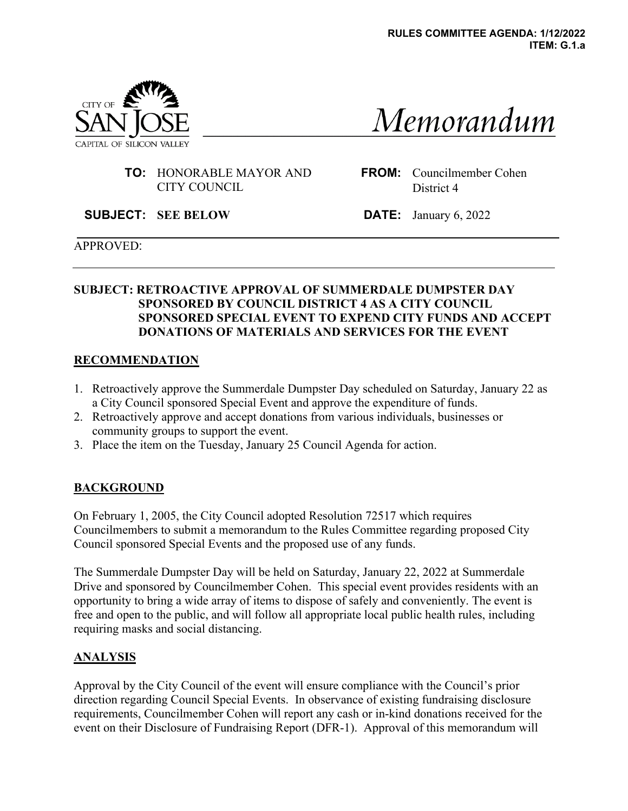

# Memorandum

**TO:** HONORABLE MAYOR AND CITY COUNCIL

**FROM:** Councilmember Cohen District 4

**SUBJECT: SEE BELOW DATE:** January 6, 2022

#### APPROVED:

## **SUBJECT: RETROACTIVE APPROVAL OF SUMMERDALE DUMPSTER DAY SPONSORED BY COUNCIL DISTRICT 4 AS A CITY COUNCIL SPONSORED SPECIAL EVENT TO EXPEND CITY FUNDS AND ACCEPT DONATIONS OF MATERIALS AND SERVICES FOR THE EVENT**

#### **RECOMMENDATION**

- 1. Retroactively approve the Summerdale Dumpster Day scheduled on Saturday, January 22 as a City Council sponsored Special Event and approve the expenditure of funds.
- 2. Retroactively approve and accept donations from various individuals, businesses or community groups to support the event.
- 3. Place the item on the Tuesday, January 25 Council Agenda for action.

## **BACKGROUND**

On February 1, 2005, the City Council adopted Resolution 72517 which requires Councilmembers to submit a memorandum to the Rules Committee regarding proposed City Council sponsored Special Events and the proposed use of any funds.

The Summerdale Dumpster Day will be held on Saturday, January 22, 2022 at Summerdale Drive and sponsored by Councilmember Cohen. This special event provides residents with an opportunity to bring a wide array of items to dispose of safely and conveniently. The event is free and open to the public, and will follow all appropriate local public health rules, including requiring masks and social distancing.

## **ANALYSIS**

Approval by the City Council of the event will ensure compliance with the Council's prior direction regarding Council Special Events. In observance of existing fundraising disclosure requirements, Councilmember Cohen will report any cash or in-kind donations received for the event on their Disclosure of Fundraising Report (DFR-1). Approval of this memorandum will